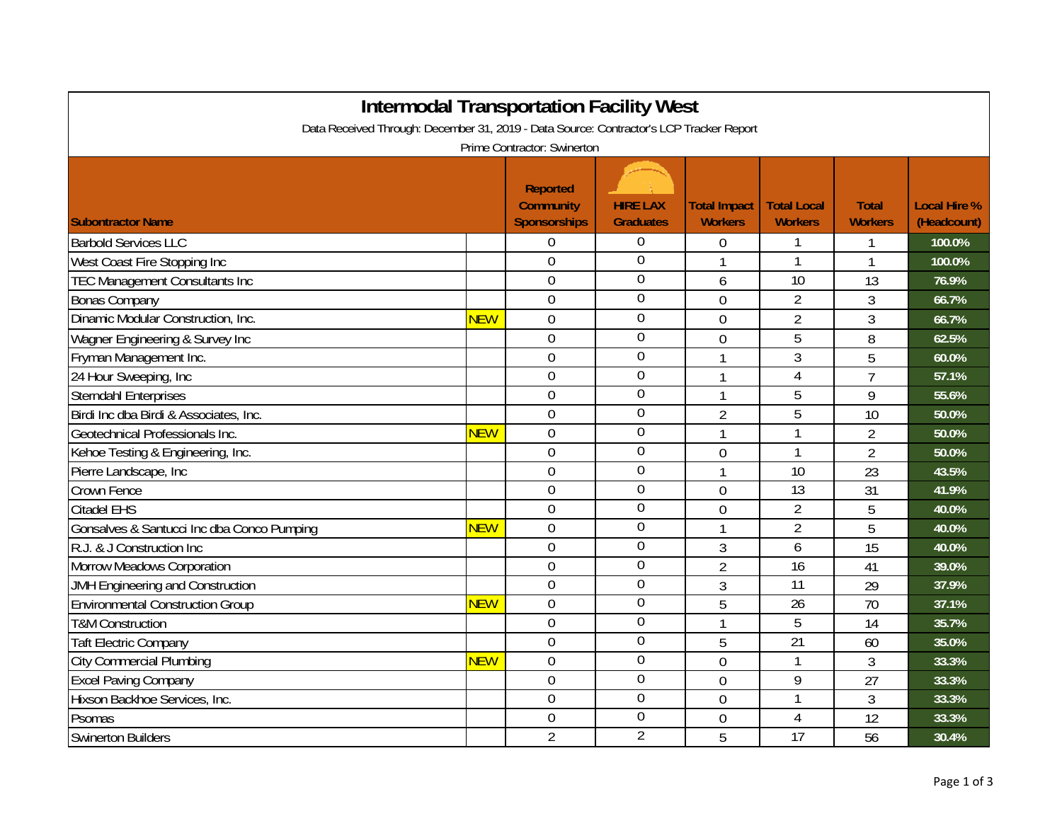| <b>Intermodal Transportation Facility West</b>                                                                         |            |                                                            |                                     |                                       |                                      |                                |                                    |  |  |
|------------------------------------------------------------------------------------------------------------------------|------------|------------------------------------------------------------|-------------------------------------|---------------------------------------|--------------------------------------|--------------------------------|------------------------------------|--|--|
| Data Received Through: December 31, 2019 - Data Source: Contractor's LCP Tracker Report<br>Prime Contractor: Swinerton |            |                                                            |                                     |                                       |                                      |                                |                                    |  |  |
| <b>Subontractor Name</b>                                                                                               |            | <b>Reported</b><br><b>Community</b><br><b>Sponsorships</b> | <b>HIRE LAX</b><br><b>Graduates</b> | <b>Total Impact</b><br><b>Workers</b> | <b>Total Local</b><br><b>Workers</b> | <b>Total</b><br><b>Workers</b> | <b>Local Hire %</b><br>(Headcount) |  |  |
| <b>Barbold Services LLC</b>                                                                                            |            | $\overline{0}$                                             | $\overline{0}$                      | $\Omega$                              |                                      | 1                              | 100.0%                             |  |  |
| West Coast Fire Stopping Inc                                                                                           |            | 0                                                          | $\overline{0}$                      | $\mathbf{1}$                          | 1                                    | 1                              | 100.0%                             |  |  |
| <b>TEC Management Consultants Inc</b>                                                                                  |            | $\overline{0}$                                             | $\overline{0}$                      | 6                                     | 10                                   | 13                             | 76.9%                              |  |  |
| <b>Bonas Company</b>                                                                                                   |            | 0                                                          | 0                                   | $\overline{0}$                        | $\overline{2}$                       | 3                              | 66.7%                              |  |  |
| Dinamic Modular Construction, Inc.                                                                                     | <b>NEW</b> | $\overline{0}$                                             | $\boldsymbol{0}$                    | $\overline{0}$                        | $\overline{2}$                       | 3                              | 66.7%                              |  |  |
| Wagner Engineering & Survey Inc                                                                                        |            | 0                                                          | $\overline{0}$                      | $\overline{0}$                        | 5                                    | 8                              | 62.5%                              |  |  |
| Fryman Management Inc.                                                                                                 |            | $\overline{0}$                                             | $\overline{0}$                      | $\overline{1}$                        | 3                                    | 5                              | 60.0%                              |  |  |
| 24 Hour Sweeping, Inc                                                                                                  |            | $\mathbf 0$                                                | $\overline{0}$                      | 1                                     | 4                                    | $\overline{7}$                 | 57.1%                              |  |  |
| <b>Sterndahl Enterprises</b>                                                                                           |            | $\mathbf 0$                                                | $\boldsymbol{0}$                    |                                       | 5                                    | 9                              | 55.6%                              |  |  |
| Birdi Inc dba Birdi & Associates, Inc.                                                                                 |            | $\overline{0}$                                             | $\overline{0}$                      | $\overline{2}$                        | $\overline{5}$                       | 10                             | 50.0%                              |  |  |
| Geotechnical Professionals Inc.                                                                                        | <b>NEW</b> | 0                                                          | $\overline{0}$                      | $\mathbf{1}$                          |                                      | $\overline{2}$                 | 50.0%                              |  |  |
| Kehoe Testing & Engineering, Inc.                                                                                      |            | $\overline{0}$                                             | $\overline{0}$                      | $\overline{0}$                        |                                      | $\overline{2}$                 | 50.0%                              |  |  |
| Pierre Landscape, Inc                                                                                                  |            | $\overline{0}$                                             | $\overline{0}$                      | $\overline{1}$                        | 10                                   | 23                             | 43.5%                              |  |  |
| Crown Fence                                                                                                            |            | $\overline{0}$                                             | $\overline{0}$                      | $\overline{0}$                        | 13                                   | 31                             | 41.9%                              |  |  |
| <b>Citadel EHS</b>                                                                                                     |            | 0                                                          | $\overline{0}$                      | $\overline{0}$                        | $\overline{2}$                       | 5                              | 40.0%                              |  |  |
| Gonsalves & Santucci Inc dba Conco Pumping                                                                             | <b>NEW</b> | 0                                                          | $\overline{0}$                      | $\mathbf{1}$                          | $\overline{2}$                       | 5                              | 40.0%                              |  |  |
| R.J. & J Construction Inc                                                                                              |            | 0                                                          | $\overline{0}$                      | 3                                     | 6                                    | 15                             | 40.0%                              |  |  |
| Morrow Meadows Corporation                                                                                             |            | 0                                                          | $\Omega$                            | $\overline{2}$                        | 16                                   | 41                             | 39.0%                              |  |  |
| JMH Engineering and Construction                                                                                       |            | $\overline{0}$                                             | $\overline{0}$                      | 3                                     | 11                                   | 29                             | 37.9%                              |  |  |
| <b>Environmental Construction Group</b>                                                                                | <b>NEW</b> | 0                                                          | $\overline{0}$                      | 5                                     | 26                                   | 70                             | 37.1%                              |  |  |
| <b>T&amp;M Construction</b>                                                                                            |            | $\mathbf 0$                                                | $\boldsymbol{0}$                    | $\mathbf{1}$                          | 5                                    | 14                             | 35.7%                              |  |  |
| <b>Taft Electric Company</b>                                                                                           |            | $\overline{0}$                                             | $\overline{0}$                      | 5                                     | $\overline{21}$                      | 60                             | 35.0%                              |  |  |
| <b>City Commercial Plumbing</b>                                                                                        | <b>NEW</b> | 0                                                          | $\overline{0}$                      | $\overline{0}$                        | 1                                    | 3                              | 33.3%                              |  |  |
| <b>Excel Paving Company</b>                                                                                            |            | $\mathbf 0$                                                | 0                                   | $\overline{0}$                        | 9                                    | 27                             | 33.3%                              |  |  |
| Hixson Backhoe Services, Inc.                                                                                          |            | $\overline{0}$                                             | $\overline{0}$                      | $\overline{0}$                        | 1                                    | 3                              | 33.3%                              |  |  |
| Psomas                                                                                                                 |            | 0                                                          | $\mathbf 0$                         | 0                                     | 4                                    | 12                             | 33.3%                              |  |  |
| Swinerton Builders                                                                                                     |            | $\overline{2}$                                             | $\overline{2}$                      | 5                                     | 17                                   | 56                             | 30.4%                              |  |  |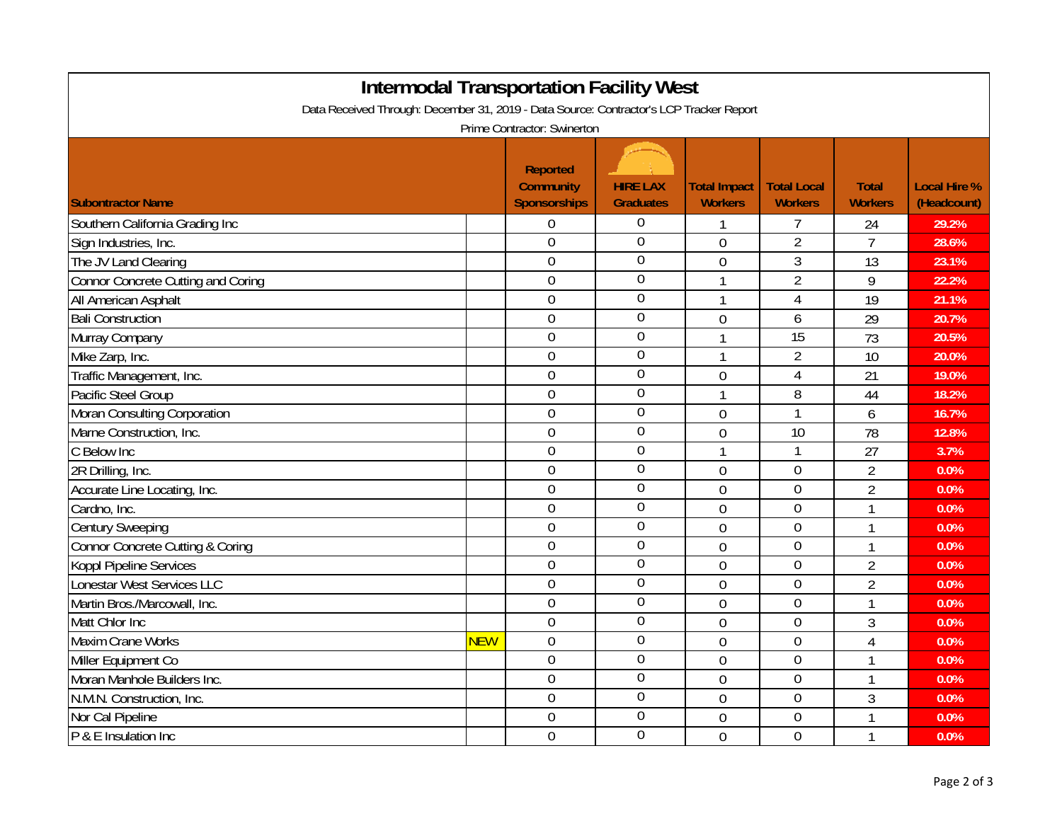| <b>Intermodal Transportation Facility West</b>                                                                         |            |                                                     |                                     |                                       |                                      |                                |                                    |  |  |
|------------------------------------------------------------------------------------------------------------------------|------------|-----------------------------------------------------|-------------------------------------|---------------------------------------|--------------------------------------|--------------------------------|------------------------------------|--|--|
| Data Received Through: December 31, 2019 - Data Source: Contractor's LCP Tracker Report<br>Prime Contractor: Swinerton |            |                                                     |                                     |                                       |                                      |                                |                                    |  |  |
| <b>Subontractor Name</b>                                                                                               |            | <b>Reported</b><br><b>Community</b><br>Sponsorships | <b>HIRE LAX</b><br><b>Graduates</b> | <b>Total Impact</b><br><b>Workers</b> | <b>Total Local</b><br><b>Workers</b> | <b>Total</b><br><b>Workers</b> | <b>Local Hire %</b><br>(Headcount) |  |  |
| Southern California Grading Inc                                                                                        |            | 0                                                   | 0                                   | 1                                     |                                      | 24                             | 29.2%                              |  |  |
| Sign Industries, Inc.                                                                                                  |            | $\mathbf 0$                                         | $\boldsymbol{0}$                    | $\overline{0}$                        | $\overline{2}$                       | $\overline{7}$                 | 28.6%                              |  |  |
| The JV Land Clearing                                                                                                   |            | $\mathbf 0$                                         | $\overline{0}$                      | $\overline{0}$                        | $\mathfrak{Z}$                       | 13                             | 23.1%                              |  |  |
| Connor Concrete Cutting and Coring                                                                                     |            | $\mathbf 0$                                         | $\overline{0}$                      | 1                                     | $\overline{2}$                       | 9                              | 22.2%                              |  |  |
| All American Asphalt                                                                                                   |            | $\overline{0}$                                      | $\overline{0}$                      | 1                                     | $\overline{4}$                       | 19                             | 21.1%                              |  |  |
| <b>Bali Construction</b>                                                                                               |            | $\mathbf 0$                                         | $\mathbf 0$                         | $\overline{0}$                        | 6                                    | 29                             | 20.7%                              |  |  |
| Murray Company                                                                                                         |            | $\mathbf 0$                                         | $\boldsymbol{0}$                    | $\mathbf{1}$                          | 15                                   | 73                             | 20.5%                              |  |  |
| Mike Zarp, Inc.                                                                                                        |            | $\overline{0}$                                      | $\overline{0}$                      | $\mathbf{1}$                          | $\overline{2}$                       | 10                             | 20.0%                              |  |  |
| Traffic Management, Inc.                                                                                               |            | $\overline{0}$                                      | $\boldsymbol{0}$                    | $\overline{0}$                        | $\overline{4}$                       | 21                             | 19.0%                              |  |  |
| Pacific Steel Group                                                                                                    |            | $\mathbf 0$                                         | $\mathbf 0$                         | $\mathbf{1}$                          | 8                                    | 44                             | 18.2%                              |  |  |
| Moran Consulting Corporation                                                                                           |            | $\overline{0}$                                      | $\boldsymbol{0}$                    | $\overline{0}$                        | 1                                    | 6                              | 16.7%                              |  |  |
| Marne Construction, Inc.                                                                                               |            | $\overline{0}$                                      | $\boldsymbol{0}$                    | $\overline{0}$                        | 10                                   | 78                             | 12.8%                              |  |  |
| C Below Inc                                                                                                            |            | $\overline{0}$                                      | $\overline{0}$                      | 1                                     | 1                                    | 27                             | 3.7%                               |  |  |
| 2R Drilling, Inc.                                                                                                      |            | $\mathbf 0$                                         | $\boldsymbol{0}$                    | $\overline{0}$                        | $\mathbf 0$                          | $\overline{2}$                 | 0.0%                               |  |  |
| Accurate Line Locating, Inc.                                                                                           |            | $\mathbf 0$                                         | $\overline{0}$                      | $\overline{0}$                        | $\mathbf 0$                          | $\overline{2}$                 | 0.0%                               |  |  |
| Cardno, Inc.                                                                                                           |            | $\mathbf 0$                                         | $\overline{0}$                      | 0                                     | $\mathbf 0$                          | 1                              | 0.0%                               |  |  |
| <b>Century Sweeping</b>                                                                                                |            | $\mathbf 0$                                         | $\overline{0}$                      | $\overline{0}$                        | $\mathbf 0$                          | 1                              | 0.0%                               |  |  |
| Connor Concrete Cutting & Coring                                                                                       |            | $\mathbf 0$                                         | $\overline{0}$                      | $\mathbf 0$                           | $\mathbf 0$                          | 1                              | 0.0%                               |  |  |
| <b>Koppl Pipeline Services</b>                                                                                         |            | $\mathbf 0$                                         | $\mathbf 0$                         | $\overline{0}$                        | $\mathbf 0$                          | $\overline{2}$                 | 0.0%                               |  |  |
| Lonestar West Services LLC                                                                                             |            | $\overline{0}$                                      | $\boldsymbol{0}$                    | $\mathbf 0$                           | $\overline{0}$                       | $\overline{2}$                 | 0.0%                               |  |  |
| Martin Bros./Marcowall, Inc.                                                                                           |            | $\overline{0}$                                      | $\overline{0}$                      | $\overline{0}$                        | $\overline{0}$                       | 1                              | 0.0%                               |  |  |
| Matt Chlor Inc                                                                                                         |            | $\overline{0}$                                      | $\boldsymbol{0}$                    | $\overline{0}$                        | $\overline{0}$                       | 3                              | 0.0%                               |  |  |
| <b>Maxim Crane Works</b>                                                                                               | <b>NEW</b> | $\mathbf 0$                                         | $\overline{0}$                      | $\overline{0}$                        | $\overline{0}$                       | $\overline{4}$                 | 0.0%                               |  |  |
| Miller Equipment Co                                                                                                    |            | $\overline{0}$                                      | $\overline{0}$                      | $\overline{0}$                        | $\overline{0}$                       | 1                              | 0.0%                               |  |  |
| Moran Manhole Builders Inc.                                                                                            |            | $\mathbf 0$                                         | $\overline{0}$                      | $\overline{0}$                        | $\mathbf 0$                          | 1                              | 0.0%                               |  |  |
| N.M.N. Construction, Inc.                                                                                              |            | $\mathbf 0$                                         | $\overline{0}$                      | $\overline{0}$                        | $\overline{0}$                       | 3                              | 0.0%                               |  |  |
| Nor Cal Pipeline                                                                                                       |            | $\mathbf 0$                                         | $\boldsymbol{0}$                    | $\overline{0}$                        | $\mathbf 0$                          | 1                              | 0.0%                               |  |  |
| P & E Insulation Inc                                                                                                   |            | $\mathbf 0$                                         | $\overline{0}$                      | $\overline{0}$                        | $\overline{0}$                       | 1                              | 0.0%                               |  |  |